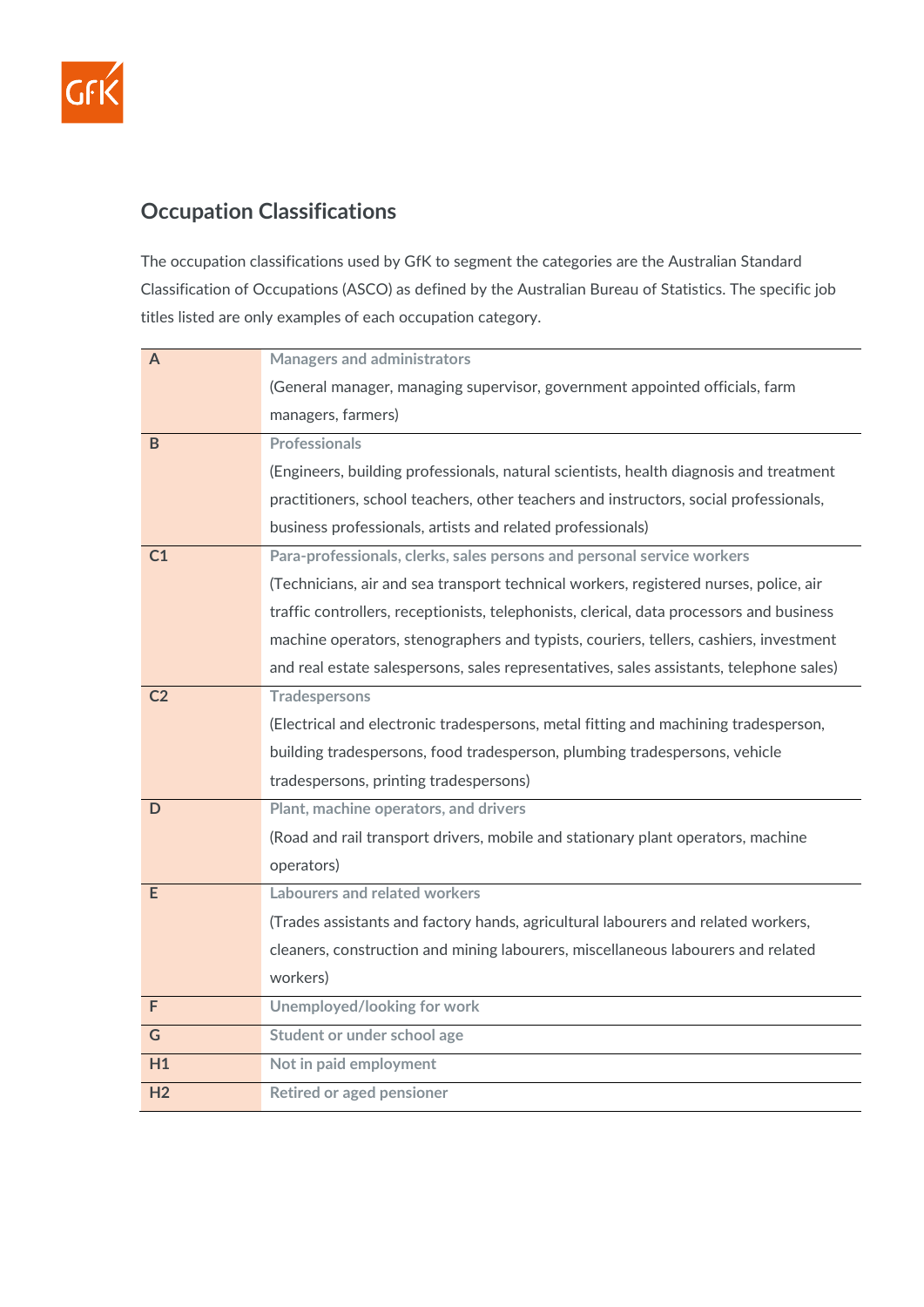

## **Occupation Classifications**

The occupation classifications used by GfK to segment the categories are the Australian Standard Classification of Occupations (ASCO) as defined by the Australian Bureau of Statistics. The specific job titles listed are only examples of each occupation category.

| A              | <b>Managers and administrators</b>                                                       |
|----------------|------------------------------------------------------------------------------------------|
|                | (General manager, managing supervisor, government appointed officials, farm              |
|                | managers, farmers)                                                                       |
| B              | <b>Professionals</b>                                                                     |
|                | (Engineers, building professionals, natural scientists, health diagnosis and treatment   |
|                | practitioners, school teachers, other teachers and instructors, social professionals,    |
|                | business professionals, artists and related professionals)                               |
| C <sub>1</sub> | Para-professionals, clerks, sales persons and personal service workers                   |
|                | (Technicians, air and sea transport technical workers, registered nurses, police, air    |
|                | traffic controllers, receptionists, telephonists, clerical, data processors and business |
|                | machine operators, stenographers and typists, couriers, tellers, cashiers, investment    |
|                | and real estate salespersons, sales representatives, sales assistants, telephone sales)  |
| C <sub>2</sub> | <b>Tradespersons</b>                                                                     |
|                | (Electrical and electronic tradespersons, metal fitting and machining tradesperson,      |
|                | building tradespersons, food tradesperson, plumbing tradespersons, vehicle               |
|                | tradespersons, printing tradespersons)                                                   |
| $\mathsf D$    | Plant, machine operators, and drivers                                                    |
|                | (Road and rail transport drivers, mobile and stationary plant operators, machine         |
|                | operators)                                                                               |
| E              | Labourers and related workers                                                            |
|                | (Trades assistants and factory hands, agricultural labourers and related workers,        |
|                | cleaners, construction and mining labourers, miscellaneous labourers and related         |
|                | workers)                                                                                 |
| F              | <b>Unemployed/looking for work</b>                                                       |
| $\mathsf G$    | Student or under school age                                                              |
| H1             | Not in paid employment                                                                   |
| H <sub>2</sub> | <b>Retired or aged pensioner</b>                                                         |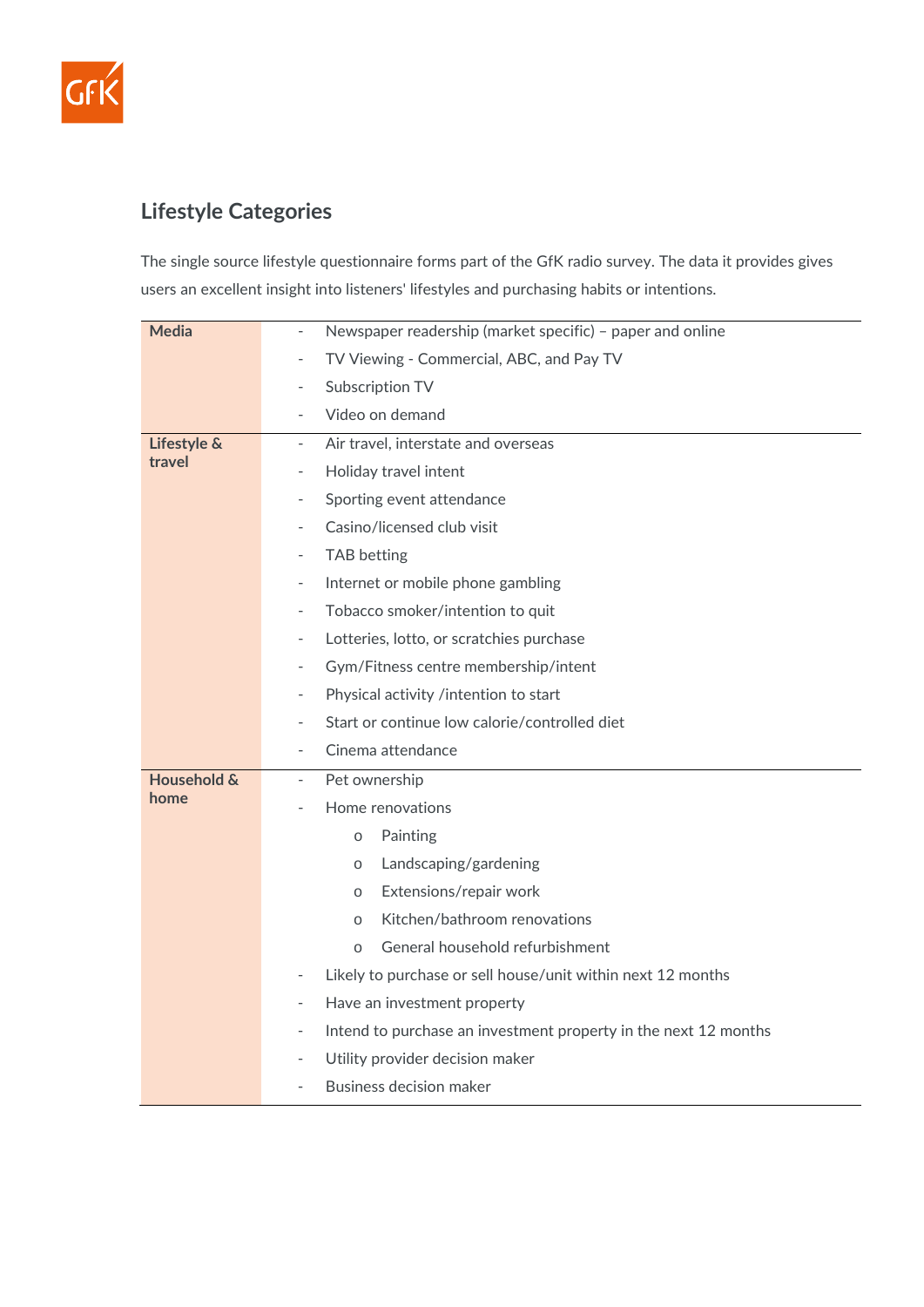

## **Lifestyle Categories**

The single source lifestyle questionnaire forms part of the GfK radio survey. The data it provides gives users an excellent insight into listeners' lifestyles and purchasing habits or intentions.

| <b>Media</b>          | Newspaper readership (market specific) - paper and online<br>$\overline{\phantom{a}}$ |
|-----------------------|---------------------------------------------------------------------------------------|
|                       | TV Viewing - Commercial, ABC, and Pay TV                                              |
|                       | Subscription TV<br>$\overline{\phantom{a}}$                                           |
|                       | Video on demand<br>$\overline{\phantom{a}}$                                           |
| Lifestyle &<br>travel | Air travel, interstate and overseas<br>$\overline{\phantom{a}}$                       |
|                       | Holiday travel intent                                                                 |
|                       | Sporting event attendance<br>$\overline{\phantom{0}}$                                 |
|                       | Casino/licensed club visit<br>$\overline{\phantom{0}}$                                |
|                       | <b>TAB</b> betting<br>$\overline{\phantom{a}}$                                        |
|                       | Internet or mobile phone gambling<br>$\overline{\phantom{a}}$                         |
|                       | Tobacco smoker/intention to quit<br>$\overline{\phantom{a}}$                          |
|                       | Lotteries, lotto, or scratchies purchase<br>$\overline{\phantom{a}}$                  |
|                       | Gym/Fitness centre membership/intent<br>$\overline{a}$                                |
|                       | Physical activity /intention to start                                                 |
|                       | Start or continue low calorie/controlled diet<br>$\overline{\phantom{a}}$             |
|                       | Cinema attendance<br>$\overline{a}$                                                   |
| Household &<br>home   | Pet ownership<br>$\overline{\phantom{a}}$                                             |
|                       | Home renovations<br>$\overline{\phantom{a}}$                                          |
|                       | Painting<br>$\circ$                                                                   |
|                       | Landscaping/gardening<br>$\circ$                                                      |
|                       | Extensions/repair work<br>$\circ$                                                     |
|                       | Kitchen/bathroom renovations<br>$\circ$                                               |
|                       | General household refurbishment<br>$\circ$                                            |
|                       | Likely to purchase or sell house/unit within next 12 months<br>$\qquad \qquad -$      |
|                       | Have an investment property<br>$\overline{\phantom{a}}$                               |
|                       |                                                                                       |
|                       | Intend to purchase an investment property in the next 12 months                       |
|                       | Utility provider decision maker<br>$\qquad \qquad \blacksquare$                       |